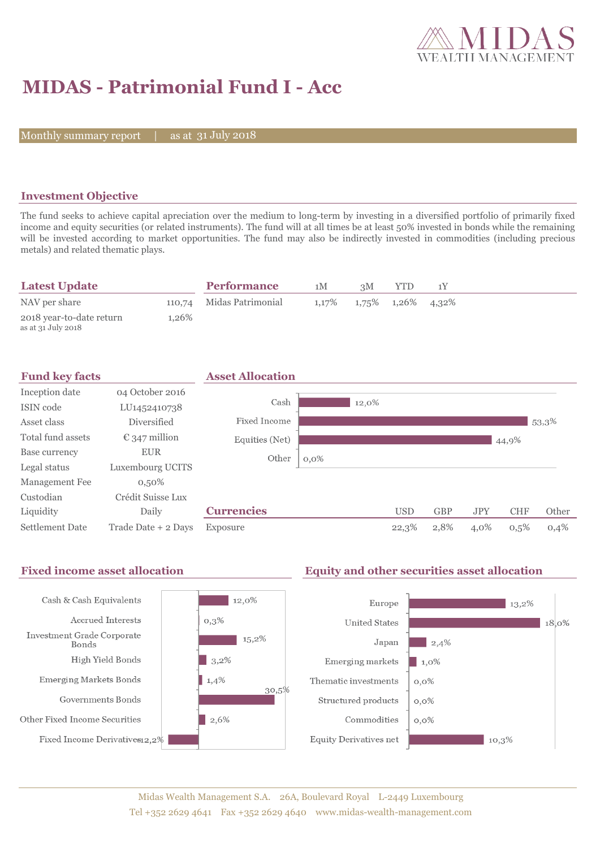

# **MIDAS - Patrimonial Fund I - Acc**

Monthly summary report  $\vert$ 

31 July 2018

## **Investment Objective**

The fund seeks to achieve capital apreciation over the medium to long-term by investing in a diversified portfolio of primarily fixed income and equity securities (or related instruments). The fund will at all times be at least 50% invested in bonds while the remaining will be invested according to market opportunities. The fund may also be indirectly invested in commodities (including precious metals) and related thematic plays.

| <b>Latest Update</b>     |       | <b>Performance</b>       | 1M                                  | 3M | YTD. |  |
|--------------------------|-------|--------------------------|-------------------------------------|----|------|--|
| NAV per share            |       | 110,74 Midas Patrimonial | $1,17\%$ $1,75\%$ $1,26\%$ $4,32\%$ |    |      |  |
| 2018 year-to-date return | 1.26% |                          |                                     |    |      |  |
| as at 31 July 2018       |       |                          |                                     |    |      |  |

| <b>Fund key facts</b> |                        | <b>Asset Allocation</b> |         |       |            |            |            |            |       |
|-----------------------|------------------------|-------------------------|---------|-------|------------|------------|------------|------------|-------|
| Inception date        | 04 October 2016        |                         |         |       |            |            |            |            |       |
| ISIN code             | LU1452410738           | Cash                    |         | 12,0% |            |            |            |            |       |
| Asset class           | Diversified            | Fixed Income            |         |       |            |            |            |            | 53,3% |
| Total fund assets     | $\epsilon$ 347 million | Equities (Net)          |         |       |            |            |            | 44,9%      |       |
| Base currency         | <b>EUR</b>             | Other                   | $0,0\%$ |       |            |            |            |            |       |
| Legal status          | Luxembourg UCITS       |                         |         |       |            |            |            |            |       |
| Management Fee        | $0,50\%$               |                         |         |       |            |            |            |            |       |
| Custodian             | Crédit Suisse Lux      |                         |         |       |            |            |            |            |       |
| Liquidity             | Daily                  | <b>Currencies</b>       |         |       | <b>USD</b> | <b>GBP</b> | <b>JPY</b> | <b>CHF</b> | Other |
| Settlement Date       | Trade Date + 2 Days    | Exposure                |         |       | 22,3%      | 2,8%       | 4,0%       | 0,5%       | 0,4%  |

#### Fixed income asset allocation **Equity and other securities asset allocation**  $12,0\%$ Cash & Cash Equivalents Europe  $\blacksquare$  13,2% Accrued Interests  $0,3%$ **United States**  $18,0\%$ Investment Grade Corporate  $15,2\%$ Japan  $\vert$  2,4% Bonds High Yield Bonds  $\Box$  3,2% Emerging markets  $\blacksquare$  1,0% Emerging Markets Bonds  $1,4%$ Thematic investments  $0,0\%$ 30,5% Governments Bonds Structured products  $0,0\%$ Other Fixed Income Securities  $\vert$  2,6% Commodities  $0,0\%$ Fixed Income Derivatives12,2% Equity Derivatives net  $10,3%$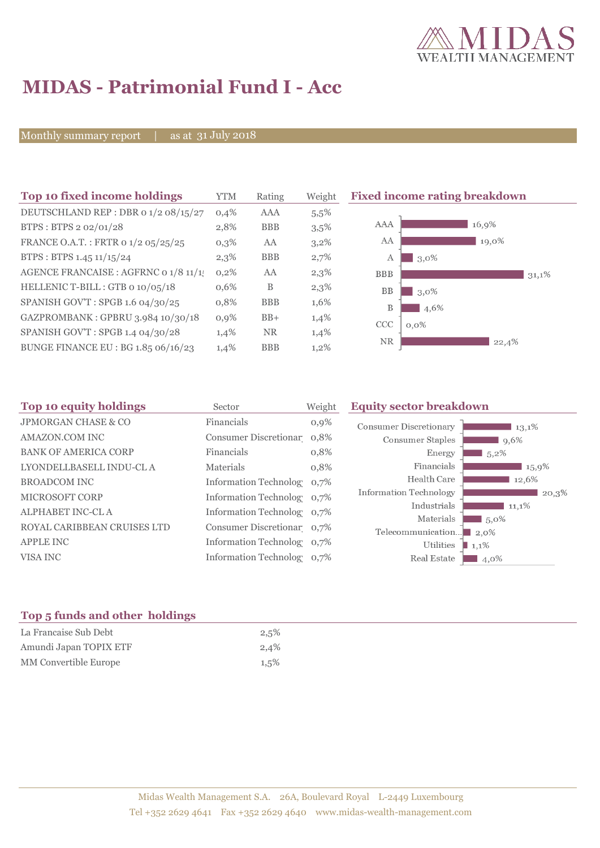

# **MIDAS - Patrimonial Fund I - Acc**

Monthly summary report | as at 31 July 2018

| Top 10 fixed income holdings          | YTM  | Rating     | Weight |
|---------------------------------------|------|------------|--------|
| DEUTSCHLAND REP : DBR 0 1/2 08/15/27  | 0.4% | AAA        | 5,5%   |
| BTPS: BTPS 2 02/01/28                 | 2,8% | <b>BBB</b> | 3,5%   |
| FRANCE O.A.T.: FRTR 0 1/2 05/25/25    | 0,3% | AA         | 3,2%   |
| BTPS: BTPS 1.45 11/15/24              | 2,3% | <b>BBB</b> | 2,7%   |
| AGENCE FRANCAISE : AGFRNC 0 1/8 11/1! | 0,2% | AA         | 2,3%   |
| HELLENIC T-BILL: GTB 0 10/05/18       | 0,6% | B          | 2,3%   |
| SPANISH GOV'T: SPGB 1.6 04/30/25      | 0,8% | <b>BBB</b> | 1,6%   |
| GAZPROMBANK: GPBRU 3.984 10/30/18     | 0,9% | $BB+$      | 1,4%   |
| SPANISH GOV'T: SPGB 1.4 04/30/28      | 1,4% | <b>NR</b>  | 1,4%   |
| BUNGE FINANCE EU : BG 1.85 06/16/23   | 1,4% | <b>BBB</b> | 1,2%   |
|                                       |      |            |        |

**Fixed income rating breakdown** 



| Top 10 equity holdings<br>Sector |         | <b>Equity sector breakdown</b>                                                                                                                                                                                           |                                                                                                                                                  |  |
|----------------------------------|---------|--------------------------------------------------------------------------------------------------------------------------------------------------------------------------------------------------------------------------|--------------------------------------------------------------------------------------------------------------------------------------------------|--|
| Financials                       | $0,9\%$ | <b>Consumer Discretionary</b><br>13,1%                                                                                                                                                                                   |                                                                                                                                                  |  |
|                                  |         | <b>Consumer Staples</b><br>$9,6\%$                                                                                                                                                                                       |                                                                                                                                                  |  |
| Financials                       | 0,8%    | Energy<br>$5,2\%$                                                                                                                                                                                                        |                                                                                                                                                  |  |
| Materials                        | 0,8%    | Financials<br>15,9%                                                                                                                                                                                                      |                                                                                                                                                  |  |
|                                  |         | Health Care<br>12,6%                                                                                                                                                                                                     |                                                                                                                                                  |  |
|                                  |         |                                                                                                                                                                                                                          |                                                                                                                                                  |  |
|                                  |         |                                                                                                                                                                                                                          |                                                                                                                                                  |  |
|                                  |         |                                                                                                                                                                                                                          |                                                                                                                                                  |  |
|                                  |         |                                                                                                                                                                                                                          |                                                                                                                                                  |  |
|                                  |         |                                                                                                                                                                                                                          |                                                                                                                                                  |  |
|                                  |         | Real Estate<br>4,0%                                                                                                                                                                                                      |                                                                                                                                                  |  |
|                                  |         | Weight<br>Consumer Discretionar 0,8%<br>Information Technolog 0,7%<br>Information Technolog 0,7%<br>Information Technolog 0,7%<br>Consumer Discretionar 0,7%<br>Information Technolog 0,7%<br>Information Technolog 0.7% | <b>Information Technology</b><br>20,3%<br>Industrials<br>11,1%<br>Materials<br>$15,0\%$<br>Telecommunication<br>$\Box$ 2.0%<br>Utilities<br>1,1% |  |

# **Top 5 funds and other holdings**

| La Francaise Sub Debt  | 2,5%    |
|------------------------|---------|
| Amundi Japan TOPIX ETF | 2,4%    |
| MM Convertible Europe  | $1,5\%$ |